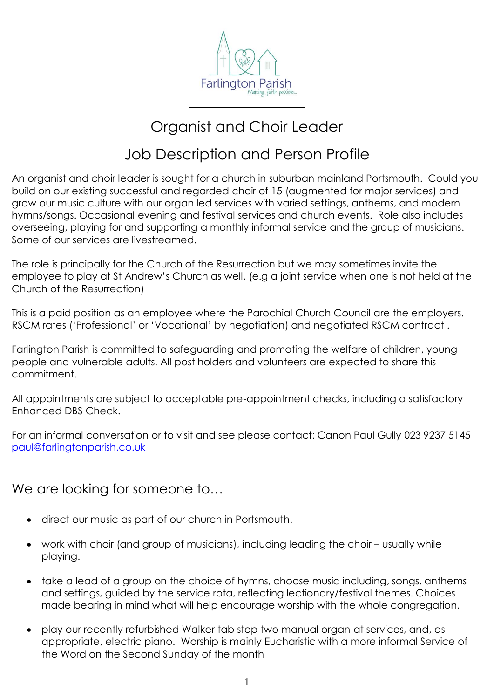

## Organist and Choir Leader

### Job Description and Person Profile

An organist and choir leader is sought for a church in suburban mainland Portsmouth. Could you build on our existing successful and regarded choir of 15 (augmented for major services) and grow our music culture with our organ led services with varied settings, anthems, and modern hymns/songs. Occasional evening and festival services and church events. Role also includes overseeing, playing for and supporting a monthly informal service and the group of musicians. Some of our services are livestreamed.

The role is principally for the Church of the Resurrection but we may sometimes invite the employee to play at St Andrew's Church as well. (e.g a joint service when one is not held at the Church of the Resurrection)

This is a paid position as an employee where the Parochial Church Council are the employers. RSCM rates ('Professional' or 'Vocational' by negotiation) and negotiated RSCM contract .

Farlington Parish is committed to safeguarding and promoting the welfare of children, young people and vulnerable adults. All post holders and volunteers are expected to share this commitment.

All appointments are subject to acceptable pre-appointment checks, including a satisfactory Enhanced DBS Check.

For an informal conversation or to visit and see please contact: Canon Paul Gully 023 9237 5145 [paul@farlingtonparish.co.uk](mailto:paul@farlingtonparish.co.uk) 

We are looking for someone to...

- direct our music as part of our church in Portsmouth.
- work with choir (and group of musicians), including leading the choir usually while playing.
- take a lead of a group on the choice of hymns, choose music including, songs, anthems and settings, guided by the service rota, reflecting lectionary/festival themes. Choices made bearing in mind what will help encourage worship with the whole congregation.
- play our recently refurbished Walker tab stop two manual organ at services, and, as appropriate, electric piano. Worship is mainly Eucharistic with a more informal Service of the Word on the Second Sunday of the month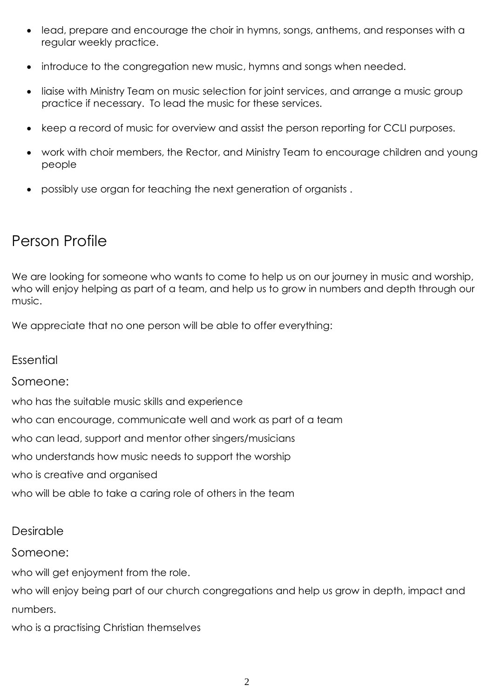- lead, prepare and encourage the choir in hymns, songs, anthems, and responses with a regular weekly practice.
- introduce to the congregation new music, hymns and songs when needed.
- liaise with Ministry Team on music selection for joint services, and arrange a music group practice if necessary. To lead the music for these services.
- keep a record of music for overview and assist the person reporting for CCLI purposes.
- work with choir members, the Rector, and Ministry Team to encourage children and young people
- possibly use organ for teaching the next generation of organists .

### Person Profile

We are looking for someone who wants to come to help us on our journey in music and worship, who will enjoy helping as part of a team, and help us to grow in numbers and depth through our music.

We appreciate that no one person will be able to offer everything:

Essential

#### Someone:

who has the suitable music skills and experience

who can encourage, communicate well and work as part of a team

who can lead, support and mentor other singers/musicians

who understands how music needs to support the worship

who is creative and organised

who will be able to take a caring role of others in the team

#### Desirable

Someone:

who will get enjoyment from the role.

who will enjoy being part of our church congregations and help us grow in depth, impact and numbers.

who is a practising Christian themselves